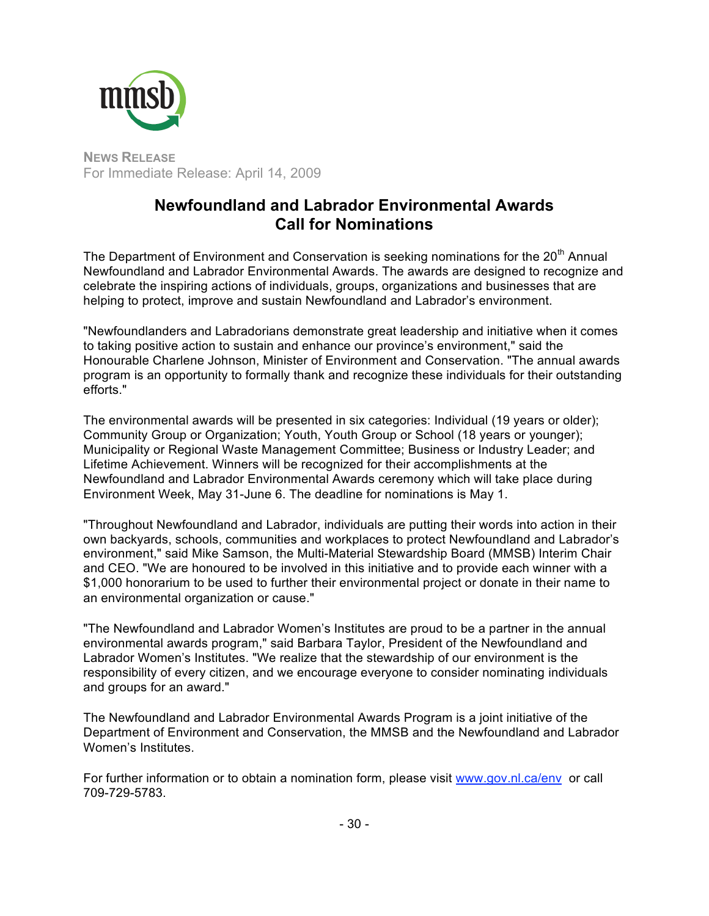

**NEWS RELEASE** For Immediate Release: April 14, 2009

## **Newfoundland and Labrador Environmental Awards Call for Nominations**

The Department of Environment and Conservation is seeking nominations for the 20<sup>th</sup> Annual Newfoundland and Labrador Environmental Awards. The awards are designed to recognize and celebrate the inspiring actions of individuals, groups, organizations and businesses that are helping to protect, improve and sustain Newfoundland and Labrador's environment.

"Newfoundlanders and Labradorians demonstrate great leadership and initiative when it comes to taking positive action to sustain and enhance our province's environment," said the Honourable Charlene Johnson, Minister of Environment and Conservation. "The annual awards program is an opportunity to formally thank and recognize these individuals for their outstanding efforts."

The environmental awards will be presented in six categories: Individual (19 years or older); Community Group or Organization; Youth, Youth Group or School (18 years or younger); Municipality or Regional Waste Management Committee; Business or Industry Leader; and Lifetime Achievement. Winners will be recognized for their accomplishments at the Newfoundland and Labrador Environmental Awards ceremony which will take place during Environment Week, May 31-June 6. The deadline for nominations is May 1.

"Throughout Newfoundland and Labrador, individuals are putting their words into action in their own backyards, schools, communities and workplaces to protect Newfoundland and Labrador's environment," said Mike Samson, the Multi-Material Stewardship Board (MMSB) Interim Chair and CEO. "We are honoured to be involved in this initiative and to provide each winner with a \$1,000 honorarium to be used to further their environmental project or donate in their name to an environmental organization or cause."

"The Newfoundland and Labrador Women's Institutes are proud to be a partner in the annual environmental awards program," said Barbara Taylor, President of the Newfoundland and Labrador Women's Institutes. "We realize that the stewardship of our environment is the responsibility of every citizen, and we encourage everyone to consider nominating individuals and groups for an award."

The Newfoundland and Labrador Environmental Awards Program is a joint initiative of the Department of Environment and Conservation, the MMSB and the Newfoundland and Labrador Women's Institutes.

For further information or to obtain a nomination form, please visit www.gov.nl.ca/env or call 709-729-5783.